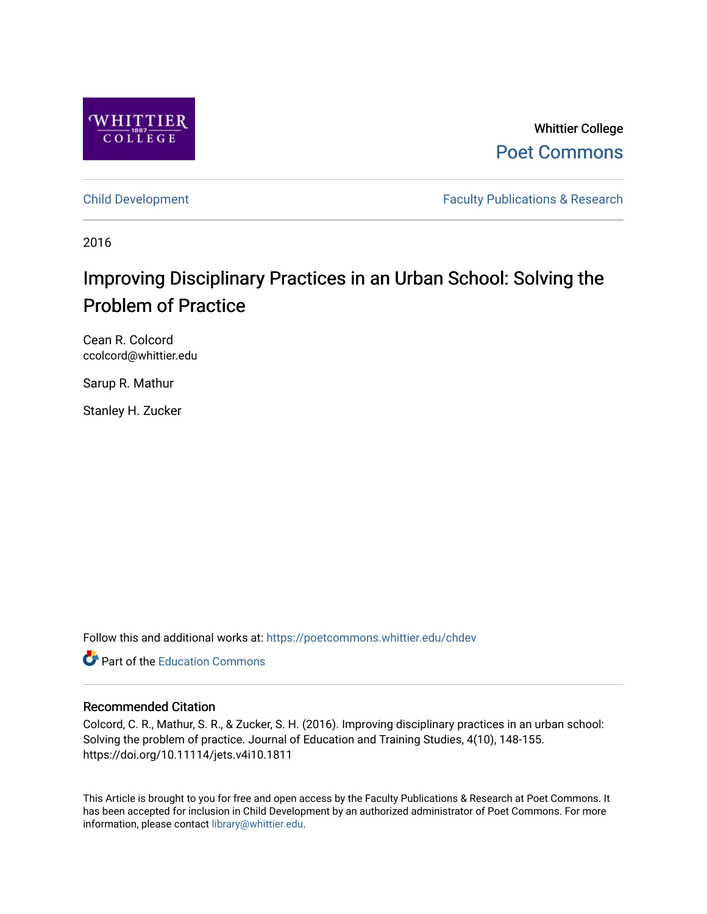

Whittier College [Poet Commons](https://poetcommons.whittier.edu/) 

[Child Development](https://poetcommons.whittier.edu/chdev) **Faculty Publications & Research** 

2016

# Improving Disciplinary Practices in an Urban School: Solving the Problem of Practice

Cean R. Colcord ccolcord@whittier.edu

Sarup R. Mathur

Stanley H. Zucker

Follow this and additional works at: [https://poetcommons.whittier.edu/chdev](https://poetcommons.whittier.edu/chdev?utm_source=poetcommons.whittier.edu%2Fchdev%2F1&utm_medium=PDF&utm_campaign=PDFCoverPages) 

**C** Part of the [Education Commons](http://network.bepress.com/hgg/discipline/784?utm_source=poetcommons.whittier.edu%2Fchdev%2F1&utm_medium=PDF&utm_campaign=PDFCoverPages)

## Recommended Citation

Colcord, C. R., Mathur, S. R., & Zucker, S. H. (2016). Improving disciplinary practices in an urban school: Solving the problem of practice. Journal of Education and Training Studies, 4(10), 148-155. https://doi.org/10.11114/jets.v4i10.1811

This Article is brought to you for free and open access by the Faculty Publications & Research at Poet Commons. It has been accepted for inclusion in Child Development by an authorized administrator of Poet Commons. For more information, please contact [library@whittier.edu.](mailto:library@whittier.edu)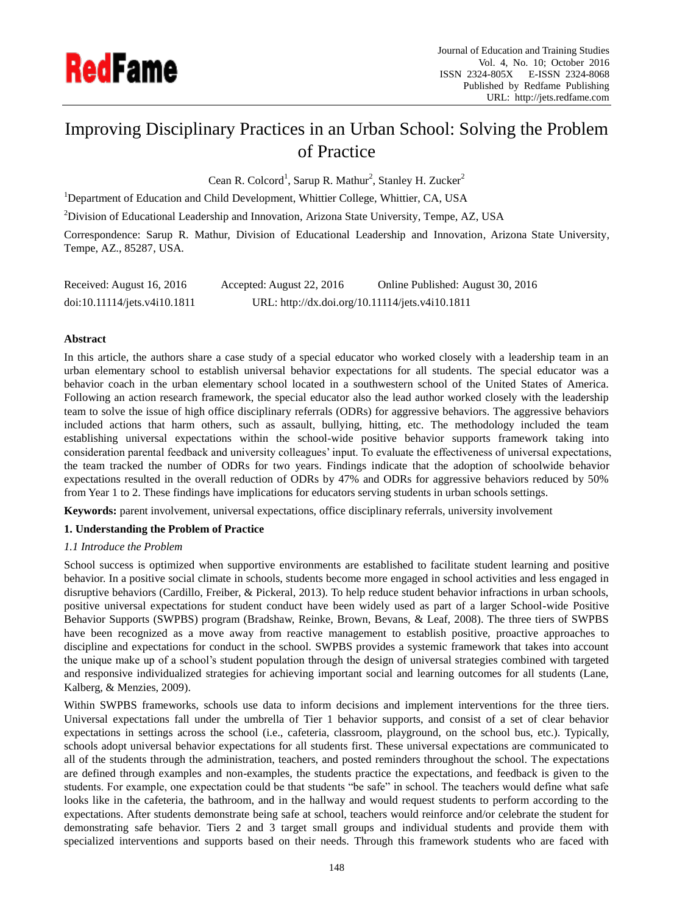

## Improving Disciplinary Practices in an Urban School: Solving the Problem of Practice

Cean R. Colcord<sup>1</sup>, Sarup R. Mathur<sup>2</sup>, Stanley H. Zucker<sup>2</sup>

<sup>1</sup>Department of Education and Child Development, Whittier College, Whittier, CA, USA

<sup>2</sup>Division of Educational Leadership and Innovation, Arizona State University, Tempe, AZ, USA

Correspondence: Sarup R. Mathur, Division of Educational Leadership and Innovation, Arizona State University, Tempe, AZ., 85287, USA.

| Received: August 16, 2016    | Accepted: August 22, 2016                       | Online Published: August 30, 2016 |
|------------------------------|-------------------------------------------------|-----------------------------------|
| doi:10.11114/jets.v4i10.1811 | URL: http://dx.doi.org/10.11114/jets.v4i10.1811 |                                   |

#### **Abstract**

In this article, the authors share a case study of a special educator who worked closely with a leadership team in an urban elementary school to establish universal behavior expectations for all students. The special educator was a behavior coach in the urban elementary school located in a southwestern school of the United States of America. Following an action research framework, the special educator also the lead author worked closely with the leadership team to solve the issue of high office disciplinary referrals (ODRs) for aggressive behaviors. The aggressive behaviors included actions that harm others, such as assault, bullying, hitting, etc. The methodology included the team establishing universal expectations within the school-wide positive behavior supports framework taking into consideration parental feedback and university colleagues' input. To evaluate the effectiveness of universal expectations, the team tracked the number of ODRs for two years. Findings indicate that the adoption of schoolwide behavior expectations resulted in the overall reduction of ODRs by 47% and ODRs for aggressive behaviors reduced by 50% from Year 1 to 2. These findings have implications for educators serving students in urban schools settings.

**Keywords:** parent involvement, universal expectations, office disciplinary referrals, university involvement

#### **1. Understanding the Problem of Practice**

## *1.1 Introduce the Problem*

School success is optimized when supportive environments are established to facilitate student learning and positive behavior. In a positive social climate in schools, students become more engaged in school activities and less engaged in disruptive behaviors (Cardillo, Freiber, & Pickeral, 2013). To help reduce student behavior infractions in urban schools, positive universal expectations for student conduct have been widely used as part of a larger School-wide Positive Behavior Supports (SWPBS) program (Bradshaw, Reinke, Brown, Bevans, & Leaf, 2008). The three tiers of SWPBS have been recognized as a move away from reactive management to establish positive, proactive approaches to discipline and expectations for conduct in the school. SWPBS provides a systemic framework that takes into account the unique make up of a school's student population through the design of universal strategies combined with targeted and responsive individualized strategies for achieving important social and learning outcomes for all students (Lane, Kalberg, & Menzies, 2009).

Within SWPBS frameworks, schools use data to inform decisions and implement interventions for the three tiers. Universal expectations fall under the umbrella of Tier 1 behavior supports, and consist of a set of clear behavior expectations in settings across the school (i.e., cafeteria, classroom, playground, on the school bus, etc.). Typically, schools adopt universal behavior expectations for all students first. These universal expectations are communicated to all of the students through the administration, teachers, and posted reminders throughout the school. The expectations are defined through examples and non-examples, the students practice the expectations, and feedback is given to the students. For example, one expectation could be that students "be safe" in school. The teachers would define what safe looks like in the cafeteria, the bathroom, and in the hallway and would request students to perform according to the expectations. After students demonstrate being safe at school, teachers would reinforce and/or celebrate the student for demonstrating safe behavior. Tiers 2 and 3 target small groups and individual students and provide them with specialized interventions and supports based on their needs. Through this framework students who are faced with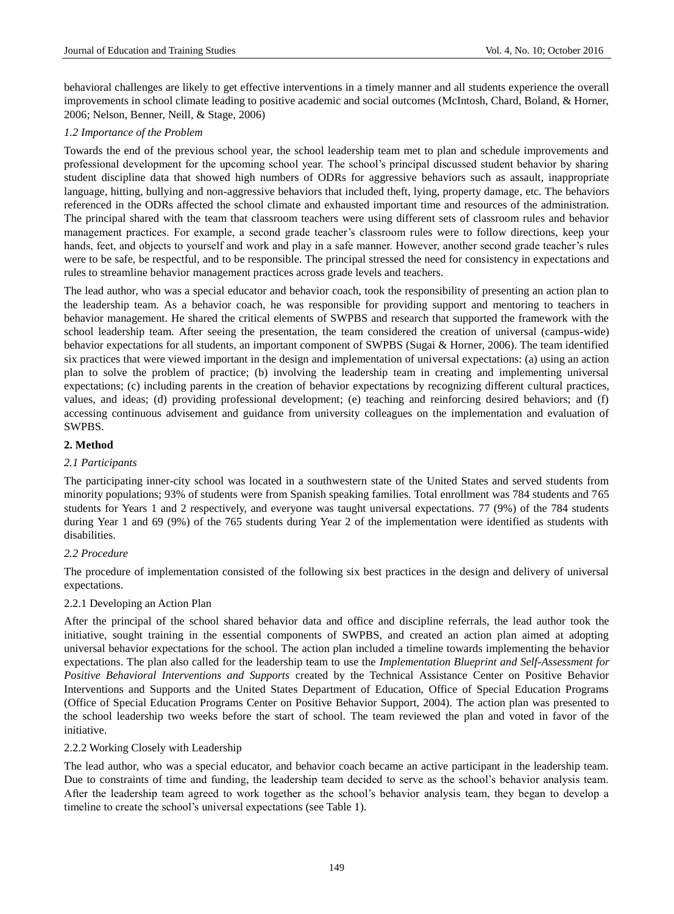behavioral challenges are likely to get effective interventions in a timely manner and all students experience the overall improvements in school climate leading to positive academic and social outcomes (McIntosh, Chard, Boland, & Horner, 2006; Nelson, Benner, Neill, & Stage, 2006)

## *1.2 Importance of the Problem*

Towards the end of the previous school year, the school leadership team met to plan and schedule improvements and professional development for the upcoming school year. The school's principal discussed student behavior by sharing student discipline data that showed high numbers of ODRs for aggressive behaviors such as assault, inappropriate language, hitting, bullying and non-aggressive behaviors that included theft, lying, property damage, etc. The behaviors referenced in the ODRs affected the school climate and exhausted important time and resources of the administration. The principal shared with the team that classroom teachers were using different sets of classroom rules and behavior management practices. For example, a second grade teacher's classroom rules were to follow directions, keep your hands, feet, and objects to yourself and work and play in a safe manner. However, another second grade teacher's rules were to be safe, be respectful, and to be responsible. The principal stressed the need for consistency in expectations and rules to streamline behavior management practices across grade levels and teachers.

The lead author, who was a special educator and behavior coach, took the responsibility of presenting an action plan to the leadership team. As a behavior coach, he was responsible for providing support and mentoring to teachers in behavior management. He shared the critical elements of SWPBS and research that supported the framework with the school leadership team. After seeing the presentation, the team considered the creation of universal (campus-wide) behavior expectations for all students, an important component of SWPBS (Sugai & Horner, 2006). The team identified six practices that were viewed important in the design and implementation of universal expectations: (a) using an action plan to solve the problem of practice; (b) involving the leadership team in creating and implementing universal expectations; (c) including parents in the creation of behavior expectations by recognizing different cultural practices, values, and ideas; (d) providing professional development; (e) teaching and reinforcing desired behaviors; and (f) accessing continuous advisement and guidance from university colleagues on the implementation and evaluation of SWPBS.

## **2. Method**

## *2.1 Participants*

The participating inner-city school was located in a southwestern state of the United States and served students from minority populations; 93% of students were from Spanish speaking families. Total enrollment was 784 students and 765 students for Years 1 and 2 respectively, and everyone was taught universal expectations. 77 (9%) of the 784 students during Year 1 and 69 (9%) of the 765 students during Year 2 of the implementation were identified as students with disabilities.

## *2.2 Procedure*

The procedure of implementation consisted of the following six best practices in the design and delivery of universal expectations.

## 2.2.1 Developing an Action Plan

After the principal of the school shared behavior data and office and discipline referrals, the lead author took the initiative, sought training in the essential components of SWPBS, and created an action plan aimed at adopting universal behavior expectations for the school. The action plan included a timeline towards implementing the behavior expectations. The plan also called for the leadership team to use the *Implementation Blueprint and Self-Assessment for Positive Behavioral Interventions and Supports* created by the Technical Assistance Center on Positive Behavior Interventions and Supports and the United States Department of Education, Office of Special Education Programs (Office of Special Education Programs Center on Positive Behavior Support, 2004). The action plan was presented to the school leadership two weeks before the start of school. The team reviewed the plan and voted in favor of the initiative.

## 2.2.2 Working Closely with Leadership

The lead author, who was a special educator, and behavior coach became an active participant in the leadership team. Due to constraints of time and funding, the leadership team decided to serve as the school's behavior analysis team. After the leadership team agreed to work together as the school's behavior analysis team, they began to develop a timeline to create the school's universal expectations (see Table 1).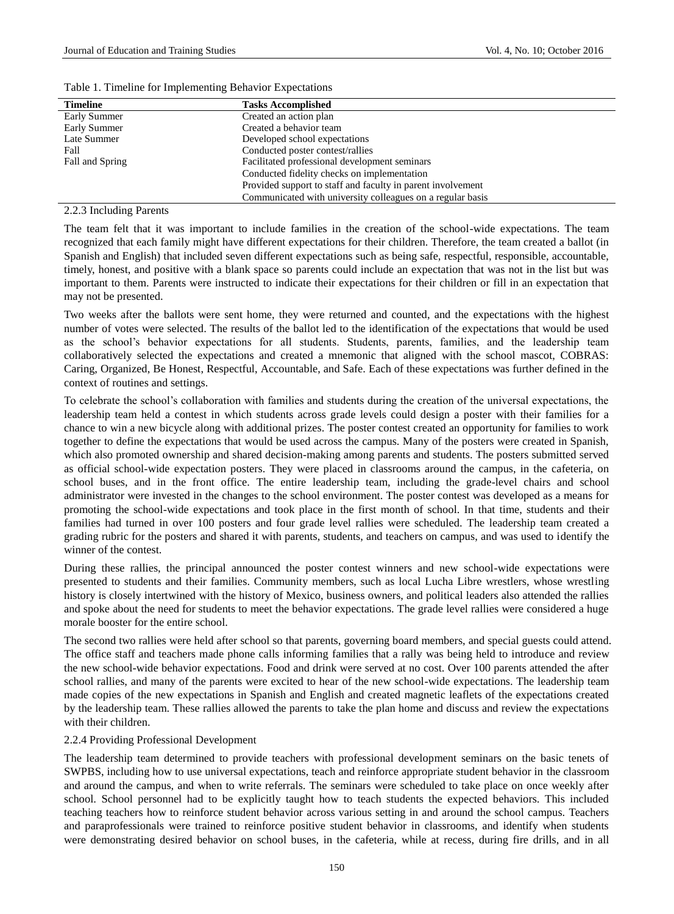| <b>Timeline</b> | <b>Tasks Accomplished</b>                                   |
|-----------------|-------------------------------------------------------------|
| Early Summer    | Created an action plan                                      |
| Early Summer    | Created a behavior team                                     |
| Late Summer     | Developed school expectations                               |
| Fall            | Conducted poster contest/rallies                            |
| Fall and Spring | Facilitated professional development seminars               |
|                 | Conducted fidelity checks on implementation                 |
|                 | Provided support to staff and faculty in parent involvement |
|                 | Communicated with university colleagues on a regular basis  |

Table 1. Timeline for Implementing Behavior Expectations

2.2.3 Including Parents

The team felt that it was important to include families in the creation of the school-wide expectations. The team recognized that each family might have different expectations for their children. Therefore, the team created a ballot (in Spanish and English) that included seven different expectations such as being safe, respectful, responsible, accountable, timely, honest, and positive with a blank space so parents could include an expectation that was not in the list but was important to them. Parents were instructed to indicate their expectations for their children or fill in an expectation that may not be presented.

Two weeks after the ballots were sent home, they were returned and counted, and the expectations with the highest number of votes were selected. The results of the ballot led to the identification of the expectations that would be used as the school's behavior expectations for all students. Students, parents, families, and the leadership team collaboratively selected the expectations and created a mnemonic that aligned with the school mascot, COBRAS: Caring, Organized, Be Honest, Respectful, Accountable, and Safe. Each of these expectations was further defined in the context of routines and settings.

To celebrate the school's collaboration with families and students during the creation of the universal expectations, the leadership team held a contest in which students across grade levels could design a poster with their families for a chance to win a new bicycle along with additional prizes. The poster contest created an opportunity for families to work together to define the expectations that would be used across the campus. Many of the posters were created in Spanish, which also promoted ownership and shared decision-making among parents and students. The posters submitted served as official school-wide expectation posters. They were placed in classrooms around the campus, in the cafeteria, on school buses, and in the front office. The entire leadership team, including the grade-level chairs and school administrator were invested in the changes to the school environment. The poster contest was developed as a means for promoting the school-wide expectations and took place in the first month of school. In that time, students and their families had turned in over 100 posters and four grade level rallies were scheduled. The leadership team created a grading rubric for the posters and shared it with parents, students, and teachers on campus, and was used to identify the winner of the contest.

During these rallies, the principal announced the poster contest winners and new school-wide expectations were presented to students and their families. Community members, such as local Lucha Libre wrestlers, whose wrestling history is closely intertwined with the history of Mexico, business owners, and political leaders also attended the rallies and spoke about the need for students to meet the behavior expectations. The grade level rallies were considered a huge morale booster for the entire school.

The second two rallies were held after school so that parents, governing board members, and special guests could attend. The office staff and teachers made phone calls informing families that a rally was being held to introduce and review the new school-wide behavior expectations. Food and drink were served at no cost. Over 100 parents attended the after school rallies, and many of the parents were excited to hear of the new school-wide expectations. The leadership team made copies of the new expectations in Spanish and English and created magnetic leaflets of the expectations created by the leadership team. These rallies allowed the parents to take the plan home and discuss and review the expectations with their children.

#### 2.2.4 Providing Professional Development

The leadership team determined to provide teachers with professional development seminars on the basic tenets of SWPBS, including how to use universal expectations, teach and reinforce appropriate student behavior in the classroom and around the campus, and when to write referrals. The seminars were scheduled to take place on once weekly after school. School personnel had to be explicitly taught how to teach students the expected behaviors. This included teaching teachers how to reinforce student behavior across various setting in and around the school campus. Teachers and paraprofessionals were trained to reinforce positive student behavior in classrooms, and identify when students were demonstrating desired behavior on school buses, in the cafeteria, while at recess, during fire drills, and in all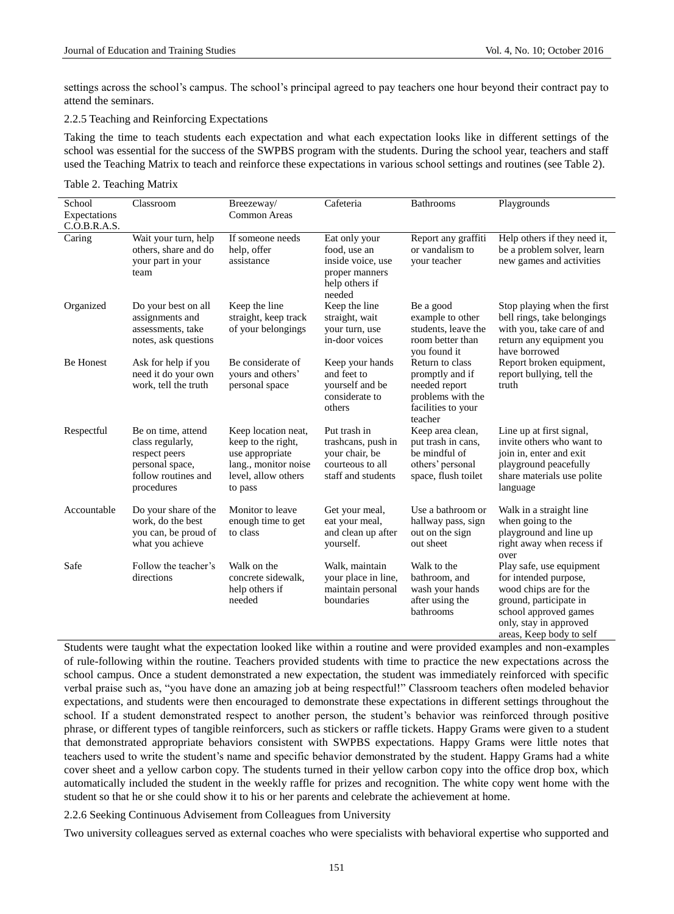settings across the school's campus. The school's principal agreed to pay teachers one hour beyond their contract pay to attend the seminars.

## 2.2.5 Teaching and Reinforcing Expectations

Taking the time to teach students each expectation and what each expectation looks like in different settings of the school was essential for the success of the SWPBS program with the students. During the school year, teachers and staff used the Teaching Matrix to teach and reinforce these expectations in various school settings and routines (see Table 2).

#### Table 2. Teaching Matrix

| School<br>Expectations<br>C.O.B.R.A.S. | Classroom                                                                                                       | Breezeway/<br><b>Common Areas</b>                                                                                      | Cafeteria                                                                                        | Bathrooms                                                                                                 | Playgrounds                                                                                                                                                                          |  |  |
|----------------------------------------|-----------------------------------------------------------------------------------------------------------------|------------------------------------------------------------------------------------------------------------------------|--------------------------------------------------------------------------------------------------|-----------------------------------------------------------------------------------------------------------|--------------------------------------------------------------------------------------------------------------------------------------------------------------------------------------|--|--|
| Caring                                 | Wait your turn, help<br>others, share and do<br>your part in your<br>team                                       | If someone needs<br>help, offer<br>assistance                                                                          | Eat only your<br>food, use an<br>inside voice, use<br>proper manners<br>help others if<br>needed | Report any graffiti<br>or vandalism to<br>your teacher                                                    | Help others if they need it,<br>be a problem solver, learn<br>new games and activities                                                                                               |  |  |
| Organized                              | Do your best on all<br>assignments and<br>assessments, take<br>notes, ask questions                             | Keep the line<br>straight, keep track<br>of your belongings                                                            | Keep the line<br>straight, wait<br>your turn, use<br>in-door voices                              | Be a good<br>example to other<br>students, leave the<br>room better than<br>you found it                  | Stop playing when the first<br>bell rings, take belongings<br>with you, take care of and<br>return any equipment you<br>have borrowed                                                |  |  |
| <b>Be Honest</b>                       | Ask for help if you<br>need it do your own<br>work, tell the truth                                              | Be considerate of<br>vours and others'<br>personal space                                                               | Keep your hands<br>and feet to<br>yourself and be<br>considerate to<br>others                    | Return to class<br>promptly and if<br>needed report<br>problems with the<br>facilities to your<br>teacher | Report broken equipment,<br>report bullying, tell the<br>truth                                                                                                                       |  |  |
| Respectful                             | Be on time, attend<br>class regularly,<br>respect peers<br>personal space,<br>follow routines and<br>procedures | Keep location neat,<br>keep to the right,<br>use appropriate<br>lang., monitor noise<br>level, allow others<br>to pass | Put trash in<br>trashcans, push in<br>your chair, be<br>courteous to all<br>staff and students   | Keep area clean,<br>put trash in cans.<br>be mindful of<br>others' personal<br>space, flush toilet        | Line up at first signal,<br>invite others who want to<br>join in, enter and exit<br>playground peacefully<br>share materials use polite<br>language                                  |  |  |
| Accountable                            | Do your share of the<br>work, do the best<br>you can, be proud of<br>what you achieve                           | Monitor to leave<br>enough time to get<br>to class                                                                     | Get your meal,<br>eat your meal,<br>and clean up after<br>yourself.                              | Use a bathroom or<br>hallway pass, sign<br>out on the sign<br>out sheet                                   | Walk in a straight line<br>when going to the<br>playground and line up<br>right away when recess if<br>over                                                                          |  |  |
| Safe                                   | Follow the teacher's<br>directions                                                                              | Walk on the<br>concrete sidewalk,<br>help others if<br>needed                                                          | Walk, maintain<br>your place in line,<br>maintain personal<br>boundaries                         | Walk to the<br>bathroom, and<br>wash your hands<br>after using the<br>bathrooms                           | Play safe, use equipment<br>for intended purpose,<br>wood chips are for the<br>ground, participate in<br>school approved games<br>only, stay in approved<br>areas, Keep body to self |  |  |

Students were taught what the expectation looked like within a routine and were provided examples and non-examples of rule-following within the routine. Teachers provided students with time to practice the new expectations across the school campus. Once a student demonstrated a new expectation, the student was immediately reinforced with specific verbal praise such as, "you have done an amazing job at being respectful!" Classroom teachers often modeled behavior expectations, and students were then encouraged to demonstrate these expectations in different settings throughout the school. If a student demonstrated respect to another person, the student's behavior was reinforced through positive phrase, or different types of tangible reinforcers, such as stickers or raffle tickets. Happy Grams were given to a student that demonstrated appropriate behaviors consistent with SWPBS expectations. Happy Grams were little notes that teachers used to write the student's name and specific behavior demonstrated by the student. Happy Grams had a white cover sheet and a yellow carbon copy. The students turned in their yellow carbon copy into the office drop box, which automatically included the student in the weekly raffle for prizes and recognition. The white copy went home with the student so that he or she could show it to his or her parents and celebrate the achievement at home.

#### 2.2.6 Seeking Continuous Advisement from Colleagues from University

Two university colleagues served as external coaches who were specialists with behavioral expertise who supported and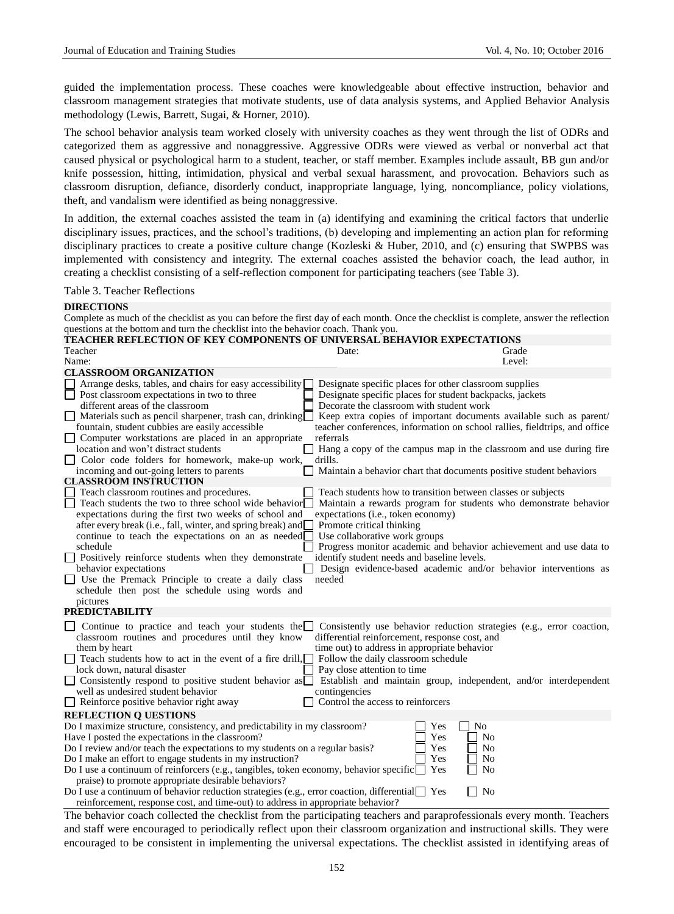guided the implementation process. These coaches were knowledgeable about effective instruction, behavior and classroom management strategies that motivate students, use of data analysis systems, and Applied Behavior Analysis methodology (Lewis, Barrett, Sugai, & Horner, 2010).

The school behavior analysis team worked closely with university coaches as they went through the list of ODRs and categorized them as aggressive and nonaggressive. Aggressive ODRs were viewed as verbal or nonverbal act that caused physical or psychological harm to a student, teacher, or staff member. Examples include assault, BB gun and/or knife possession, hitting, intimidation, physical and verbal sexual harassment, and provocation. Behaviors such as classroom disruption, defiance, disorderly conduct, inappropriate language, lying, noncompliance, policy violations, theft, and vandalism were identified as being nonaggressive.

In addition, the external coaches assisted the team in (a) identifying and examining the critical factors that underlie disciplinary issues, practices, and the school's traditions, (b) developing and implementing an action plan for reforming disciplinary practices to create a positive culture change (Kozleski & Huber, 2010, and (c) ensuring that SWPBS was implemented with consistency and integrity. The external coaches assisted the behavior coach, the lead author, in creating a checklist consisting of a self-reflection component for participating teachers (see Table 3).

#### Table 3. Teacher Reflections

### **DIRECTIONS**

Complete as much of the checklist as you can before the first day of each month. Once the checklist is complete, answer the reflection questions at the bottom and turn the checklist into the behavior coach. Thank you.

| <b>TEACHER REFLECTION OF KEY COMPONENTS OF UNIVERSAL BEHAVIOR EXPECTATIONS</b>                                           |                                                                                                                                                  |
|--------------------------------------------------------------------------------------------------------------------------|--------------------------------------------------------------------------------------------------------------------------------------------------|
| Teacher                                                                                                                  | Date:<br>Grade                                                                                                                                   |
| Name:                                                                                                                    | Level:                                                                                                                                           |
| <b>CLASSROOM ORGANIZATION</b>                                                                                            |                                                                                                                                                  |
| Arrange desks, tables, and chairs for easy accessibility                                                                 | Designate specific places for other classroom supplies                                                                                           |
| Post classroom expectations in two to three                                                                              | Designate specific places for student backpacks, jackets                                                                                         |
| different areas of the classroom                                                                                         | Decorate the classroom with student work                                                                                                         |
| $\Box$ Materials such as pencil sharpener, trash can, drinking $\Box$<br>fountain, student cubbies are easily accessible | Keep extra copies of important documents available such as parent/<br>teacher conferences, information on school rallies, fieldtrips, and office |
| Computer workstations are placed in an appropriate                                                                       | referrals                                                                                                                                        |
| location and won't distract students                                                                                     | Hang a copy of the campus map in the classroom and use during fire                                                                               |
| Color code folders for homework, make-up work,                                                                           | drills.                                                                                                                                          |
| incoming and out-going letters to parents<br><b>CLASSROOM INSTRUCTION</b>                                                | Maintain a behavior chart that documents positive student behaviors                                                                              |
| Teach classroom routines and procedures.                                                                                 | Teach students how to transition between classes or subjects                                                                                     |
| Teach students the two to three school wide behavior                                                                     | Maintain a rewards program for students who demonstrate behavior                                                                                 |
| expectations during the first two weeks of school and                                                                    | expectations (i.e., token economy)                                                                                                               |
| after every break (i.e., fall, winter, and spring break) and                                                             | Promote critical thinking                                                                                                                        |
| continue to teach the expectations on an as needed                                                                       | Use collaborative work groups                                                                                                                    |
| schedule                                                                                                                 | Progress monitor academic and behavior achievement and use data to                                                                               |
| Solutively reinforce students when they demonstrate                                                                      | identify student needs and baseline levels.                                                                                                      |
| behavior expectations                                                                                                    | Design evidence-based academic and/or behavior interventions as                                                                                  |
| Use the Premack Principle to create a daily class                                                                        | needed                                                                                                                                           |
| schedule then post the schedule using words and                                                                          |                                                                                                                                                  |
| pictures                                                                                                                 |                                                                                                                                                  |
| <b>PREDICTABILITY</b>                                                                                                    |                                                                                                                                                  |
| Continue to practice and teach your students the $\square$                                                               | Consistently use behavior reduction strategies (e.g., error coaction,                                                                            |
| classroom routines and procedures until they know                                                                        | differential reinforcement, response cost, and                                                                                                   |
| them by heart                                                                                                            | time out) to address in appropriate behavior                                                                                                     |
| Teach students how to act in the event of a fire drill,                                                                  | Follow the daily classroom schedule                                                                                                              |
| lock down, natural disaster                                                                                              | Pay close attention to time                                                                                                                      |
| □ Consistently respond to positive student behavior as                                                                   | Establish and maintain group, independent, and/or interdependent                                                                                 |
| well as undesired student behavior                                                                                       | contingencies                                                                                                                                    |
| $\Box$ Reinforce positive behavior right away                                                                            | Control the access to reinforcers                                                                                                                |
| <b>REFLECTION Q UESTIONS</b>                                                                                             |                                                                                                                                                  |
| Do I maximize structure, consistency, and predictability in my classroom?                                                | N <sub>0</sub><br>Yes                                                                                                                            |
| Have I posted the expectations in the classroom?                                                                         | Yes<br>No                                                                                                                                        |
| Do I review and/or teach the expectations to my students on a regular basis?                                             | Yes<br>No                                                                                                                                        |
| Do I make an effort to engage students in my instruction?                                                                | Yes<br>No                                                                                                                                        |
| Do I use a continuum of reinforcers (e.g., tangibles, token economy, behavior specific $\Box$                            | Yes<br>No                                                                                                                                        |
| praise) to promote appropriate desirable behaviors?                                                                      |                                                                                                                                                  |
| Do I use a continuum of behavior reduction strategies (e.g., error coaction, differential $\Box$ Yes                     | No                                                                                                                                               |
| reinforcement, response cost, and time-out) to address in appropriate behavior?                                          |                                                                                                                                                  |

The behavior coach collected the checklist from the participating teachers and paraprofessionals every month. Teachers and staff were encouraged to periodically reflect upon their classroom organization and instructional skills. They were encouraged to be consistent in implementing the universal expectations. The checklist assisted in identifying areas of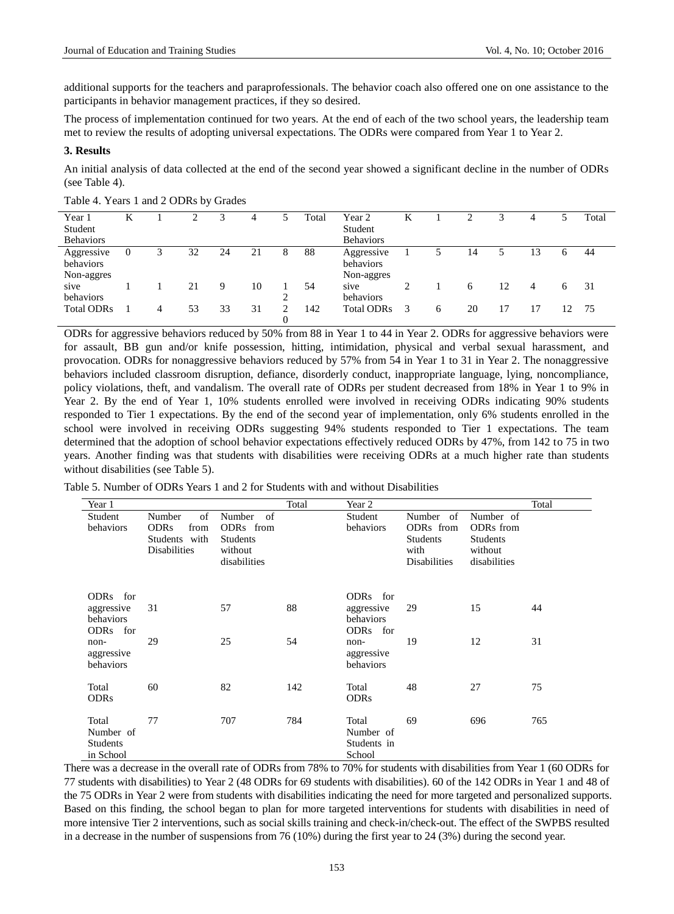additional supports for the teachers and paraprofessionals. The behavior coach also offered one on one assistance to the participants in behavior management practices, if they so desired.

The process of implementation continued for two years. At the end of each of the two school years, the leadership team met to review the results of adopting universal expectations. The ODRs were compared from Year 1 to Year 2.

#### **3. Results**

An initial analysis of data collected at the end of the second year showed a significant decline in the number of ODRs (see Table 4).

| Year 1            |          |   |    |    | 4  |          | Total | Year 2            |                             |   |    |    |    |    | Total |
|-------------------|----------|---|----|----|----|----------|-------|-------------------|-----------------------------|---|----|----|----|----|-------|
| Student           |          |   |    |    |    |          |       | Student           |                             |   |    |    |    |    |       |
| <b>Behaviors</b>  |          |   |    |    |    |          |       | <b>Behaviors</b>  |                             |   |    |    |    |    |       |
| Aggressive        | $\theta$ |   | 32 | 24 | 21 | 8        | 88    | Aggressive        |                             |   | 14 |    | 13 | 6  | 44    |
| behaviors         |          |   |    |    |    |          |       | behaviors         |                             |   |    |    |    |    |       |
| Non-aggres        |          |   |    |    |    |          |       | Non-aggres        |                             |   |    |    |    |    |       |
| sive              |          |   | 21 | 9  | 10 |          | 54    | sive              | $\mathcal{D}_{\mathcal{A}}$ |   | 6  | 12 | 4  | 6  | 31    |
| behaviors         |          |   |    |    |    | ↑        |       | behaviors         |                             |   |    |    |    |    |       |
| <b>Total ODRs</b> |          | 4 | 53 | 33 | 31 |          | 142   | <b>Total ODRs</b> | 3                           | 6 | 20 |    |    | 12 | 75    |
|                   |          |   |    |    |    | $\theta$ |       |                   |                             |   |    |    |    |    |       |

Table 4. Years 1 and 2 ODRs by Grades

ODRs for aggressive behaviors reduced by 50% from 88 in Year 1 to 44 in Year 2. ODRs for aggressive behaviors were for assault, BB gun and/or knife possession, hitting, intimidation, physical and verbal sexual harassment, and provocation. ODRs for nonaggressive behaviors reduced by 57% from 54 in Year 1 to 31 in Year 2. The nonaggressive behaviors included classroom disruption, defiance, disorderly conduct, inappropriate language, lying, noncompliance, policy violations, theft, and vandalism. The overall rate of ODRs per student decreased from 18% in Year 1 to 9% in Year 2. By the end of Year 1, 10% students enrolled were involved in receiving ODRs indicating 90% students responded to Tier 1 expectations. By the end of the second year of implementation, only 6% students enrolled in the school were involved in receiving ODRs suggesting 94% students responded to Tier 1 expectations. The team determined that the adoption of school behavior expectations effectively reduced ODRs by 47%, from 142 to 75 in two years. Another finding was that students with disabilities were receiving ODRs at a much higher rate than students without disabilities (see Table 5).

Table 5. Number of ODRs Years 1 and 2 for Students with and without Disabilities

| Year 1                                             |                                                                             |                                                                         | Total | Year 2                                          |                                                                          |                                                                                  | Total |
|----------------------------------------------------|-----------------------------------------------------------------------------|-------------------------------------------------------------------------|-------|-------------------------------------------------|--------------------------------------------------------------------------|----------------------------------------------------------------------------------|-------|
| Student<br>behaviors                               | of<br>Number<br><b>ODRs</b><br>from<br>Students with<br><b>Disabilities</b> | Number<br>of<br>ODRs from<br><b>Students</b><br>without<br>disabilities |       | Student<br>behaviors                            | Number of<br>ODRs from<br><b>Students</b><br>with<br><b>Disabilities</b> | Number of<br>ODR <sub>s</sub> from<br><b>Students</b><br>without<br>disabilities |       |
| ODRs for<br>aggressive<br>behaviors<br>ODRs for    | 31                                                                          | 57                                                                      | 88    | ODRs for<br>aggressive<br>behaviors<br>ODRs for | 29                                                                       | 15                                                                               | 44    |
| non-<br>aggressive<br>behaviors                    | 29                                                                          | 25                                                                      | 54    | non-<br>aggressive<br>behaviors                 | 19                                                                       | 12                                                                               | 31    |
| Total<br><b>ODRs</b>                               | 60                                                                          | 82                                                                      | 142   | Total<br><b>ODRs</b>                            | 48                                                                       | 27                                                                               | 75    |
| Total<br>Number of<br><b>Students</b><br>in School | 77                                                                          | 707                                                                     | 784   | Total<br>Number of<br>Students in<br>School     | 69                                                                       | 696                                                                              | 765   |

There was a decrease in the overall rate of ODRs from 78% to 70% for students with disabilities from Year 1 (60 ODRs for 77 students with disabilities) to Year 2 (48 ODRs for 69 students with disabilities). 60 of the 142 ODRs in Year 1 and 48 of the 75 ODRs in Year 2 were from students with disabilities indicating the need for more targeted and personalized supports. Based on this finding, the school began to plan for more targeted interventions for students with disabilities in need of more intensive Tier 2 interventions, such as social skills training and check-in/check-out. The effect of the SWPBS resulted in a decrease in the number of suspensions from 76 (10%) during the first year to 24 (3%) during the second year.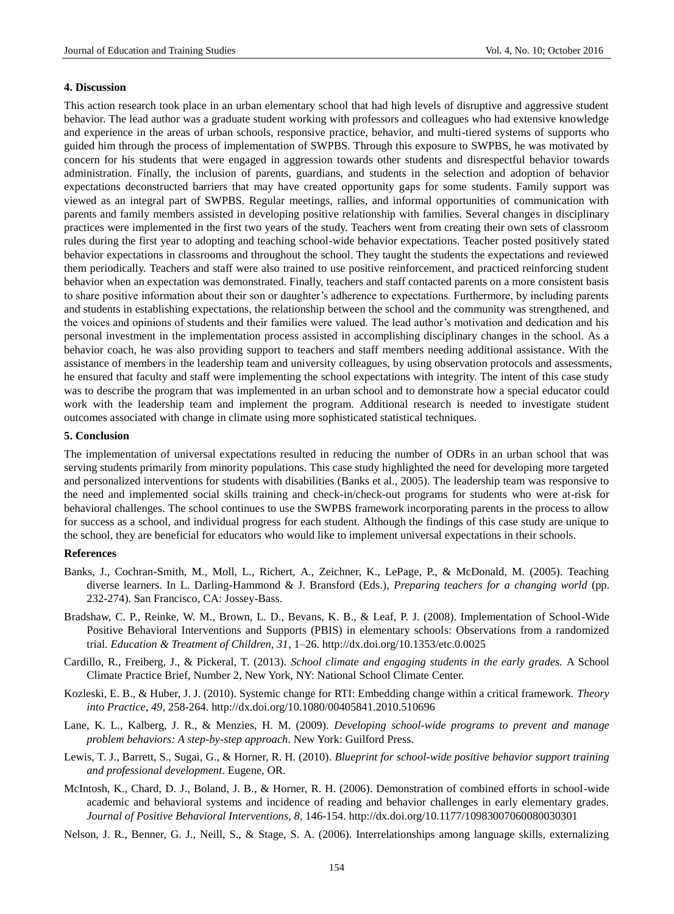#### **4. Discussion**

This action research took place in an urban elementary school that had high levels of disruptive and aggressive student behavior. The lead author was a graduate student working with professors and colleagues who had extensive knowledge and experience in the areas of urban schools, responsive practice, behavior, and multi-tiered systems of supports who guided him through the process of implementation of SWPBS. Through this exposure to SWPBS, he was motivated by concern for his students that were engaged in aggression towards other students and disrespectful behavior towards administration. Finally, the inclusion of parents, guardians, and students in the selection and adoption of behavior expectations deconstructed barriers that may have created opportunity gaps for some students. Family support was viewed as an integral part of SWPBS. Regular meetings, rallies, and informal opportunities of communication with parents and family members assisted in developing positive relationship with families. Several changes in disciplinary practices were implemented in the first two years of the study. Teachers went from creating their own sets of classroom rules during the first year to adopting and teaching school-wide behavior expectations. Teacher posted positively stated behavior expectations in classrooms and throughout the school. They taught the students the expectations and reviewed them periodically. Teachers and staff were also trained to use positive reinforcement, and practiced reinforcing student behavior when an expectation was demonstrated. Finally, teachers and staff contacted parents on a more consistent basis to share positive information about their son or daughter's adherence to expectations. Furthermore, by including parents and students in establishing expectations, the relationship between the school and the community was strengthened, and the voices and opinions of students and their families were valued. The lead author's motivation and dedication and his personal investment in the implementation process assisted in accomplishing disciplinary changes in the school. As a behavior coach, he was also providing support to teachers and staff members needing additional assistance. With the assistance of members in the leadership team and university colleagues, by using observation protocols and assessments, he ensured that faculty and staff were implementing the school expectations with integrity. The intent of this case study was to describe the program that was implemented in an urban school and to demonstrate how a special educator could work with the leadership team and implement the program. Additional research is needed to investigate student outcomes associated with change in climate using more sophisticated statistical techniques.

#### **5. Conclusion**

The implementation of universal expectations resulted in reducing the number of ODRs in an urban school that was serving students primarily from minority populations. This case study highlighted the need for developing more targeted and personalized interventions for students with disabilities (Banks et al., 2005). The leadership team was responsive to the need and implemented social skills training and check-in/check-out programs for students who were at-risk for behavioral challenges. The school continues to use the SWPBS framework incorporating parents in the process to allow for success as a school, and individual progress for each student. Although the findings of this case study are unique to the school, they are beneficial for educators who would like to implement universal expectations in their schools.

#### **References**

- Banks, J., Cochran-Smith, M., Moll, L., Richert, A., Zeichner, K., LePage, P., & McDonald, M. (2005). Teaching diverse learners. In L. Darling-Hammond & J. Bransford (Eds.), *Preparing teachers for a changing world* (pp. 232-274). San Francisco, CA: Jossey-Bass.
- Bradshaw, C. P., Reinke, W. M., Brown, L. D., Bevans, K. B., & Leaf, P. J. (2008). Implementation of School-Wide Positive Behavioral Interventions and Supports (PBIS) in elementary schools: Observations from a randomized trial. *Education & Treatment of Children, 31*, 1–26.<http://dx.doi.org/10.1353/etc.0.0025>
- Cardillo, R., Freiberg, J., & Pickeral, T. (2013). *School climate and engaging students in the early grades.* A School Climate Practice Brief, Number 2, New York, NY: National School Climate Center.
- Kozleski, E. B., & Huber, J. J. (2010). Systemic change for RTI: Embedding change within a critical framework. *Theory into Practice, 49*, 258-264.<http://dx.doi.org/10.1080/00405841.2010.510696>
- Lane, K. L., Kalberg, J. R., & Menzies, H. M. (2009). *Developing school-wide programs to prevent and manage problem behaviors: A step-by-step approach*. New York: Guilford Press.
- Lewis, T. J., Barrett, S., Sugai, G., & Horner, R. H. (2010). *Blueprint for school-wide positive behavior support training and professional development*. Eugene, OR.
- McIntosh, K., Chard, D. J., Boland, J. B., & Horner, R. H. (2006). Demonstration of combined efforts in school-wide academic and behavioral systems and incidence of reading and behavior challenges in early elementary grades. *Journal of Positive Behavioral Interventions, 8,* 146-154.<http://dx.doi.org/10.1177/10983007060080030301>
- Nelson, J. R., Benner, G. J., Neill, S., & Stage, S. A. (2006). Interrelationships among language skills, externalizing